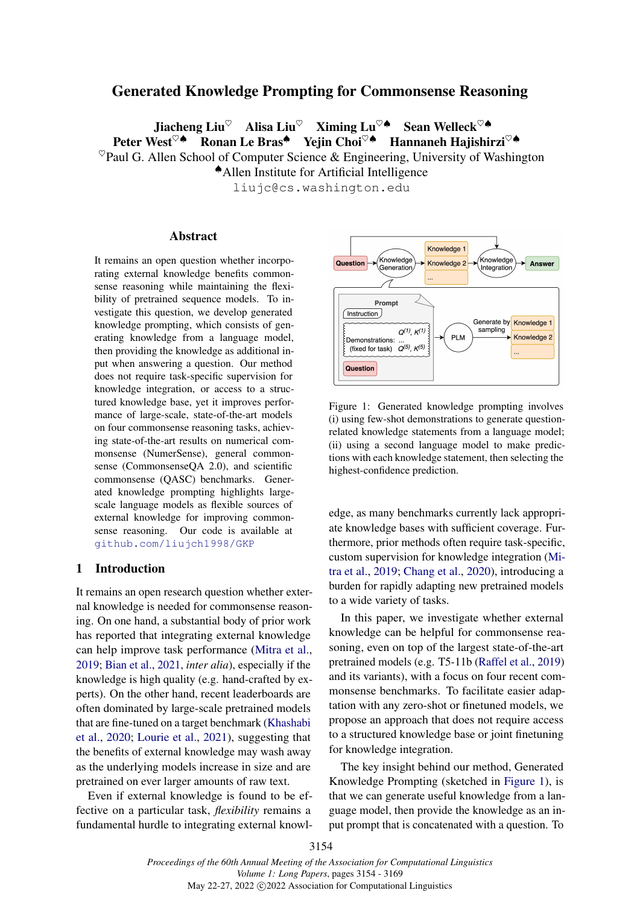# Generated Knowledge Prompting for Commonsense Reasoning

Jiacheng Liu<sup>♡</sup> Alisa Liu<sup>♡</sup> Ximing Lu<sup>♡</sup>♠ Sean Welleck<sup>♡</sub>♠</sup> Peter West<sup>♡▲</sup> Ronan Le Bras<sup>▲</sup> Yejin Choi<sup>♡▲</sup> Hannaneh Hajishirzi<sup>♡▲</sup>  $^{\heartsuit}$ Paul G. Allen School of Computer Science & Engineering, University of Washington ♠Allen Institute for Artificial Intelligence

liujc@cs.washington.edu

### Abstract

It remains an open question whether incorporating external knowledge benefits commonsense reasoning while maintaining the flexibility of pretrained sequence models. To investigate this question, we develop generated knowledge prompting, which consists of generating knowledge from a language model, then providing the knowledge as additional input when answering a question. Our method does not require task-specific supervision for knowledge integration, or access to a structured knowledge base, yet it improves performance of large-scale, state-of-the-art models on four commonsense reasoning tasks, achieving state-of-the-art results on numerical commonsense (NumerSense), general commonsense (CommonsenseQA 2.0), and scientific commonsense (QASC) benchmarks. Generated knowledge prompting highlights largescale language models as flexible sources of external knowledge for improving commonsense reasoning. Our code is available at <github.com/liujch1998/GKP>

## 1 Introduction

It remains an open research question whether external knowledge is needed for commonsense reasoning. On one hand, a substantial body of prior work has reported that integrating external knowledge can help improve task performance [\(Mitra et al.,](#page-9-0) [2019;](#page-9-0) [Bian et al.,](#page-8-0) [2021,](#page-8-0) *inter alia*), especially if the knowledge is high quality (e.g. hand-crafted by experts). On the other hand, recent leaderboards are often dominated by large-scale pretrained models that are fine-tuned on a target benchmark [\(Khashabi](#page-9-1) [et al.,](#page-9-1) [2020;](#page-9-1) [Lourie et al.,](#page-9-2) [2021\)](#page-9-2), suggesting that the benefits of external knowledge may wash away as the underlying models increase in size and are pretrained on ever larger amounts of raw text.

Even if external knowledge is found to be effective on a particular task, *flexibility* remains a fundamental hurdle to integrating external knowl-

<span id="page-0-0"></span>

Figure 1: Generated knowledge prompting involves (i) using few-shot demonstrations to generate questionrelated knowledge statements from a language model; (ii) using a second language model to make predictions with each knowledge statement, then selecting the highest-confidence prediction.

edge, as many benchmarks currently lack appropriate knowledge bases with sufficient coverage. Furthermore, prior methods often require task-specific, custom supervision for knowledge integration [\(Mi](#page-9-0)[tra et al.,](#page-9-0) [2019;](#page-9-0) [Chang et al.,](#page-8-1) [2020\)](#page-8-1), introducing a burden for rapidly adapting new pretrained models to a wide variety of tasks.

In this paper, we investigate whether external knowledge can be helpful for commonsense reasoning, even on top of the largest state-of-the-art pretrained models (e.g. T5-11b [\(Raffel et al.,](#page-9-3) [2019\)](#page-9-3) and its variants), with a focus on four recent commonsense benchmarks. To facilitate easier adaptation with any zero-shot or finetuned models, we propose an approach that does not require access to a structured knowledge base or joint finetuning for knowledge integration.

The key insight behind our method, Generated Knowledge Prompting (sketched in [Figure 1\)](#page-0-0), is that we can generate useful knowledge from a language model, then provide the knowledge as an input prompt that is concatenated with a question. To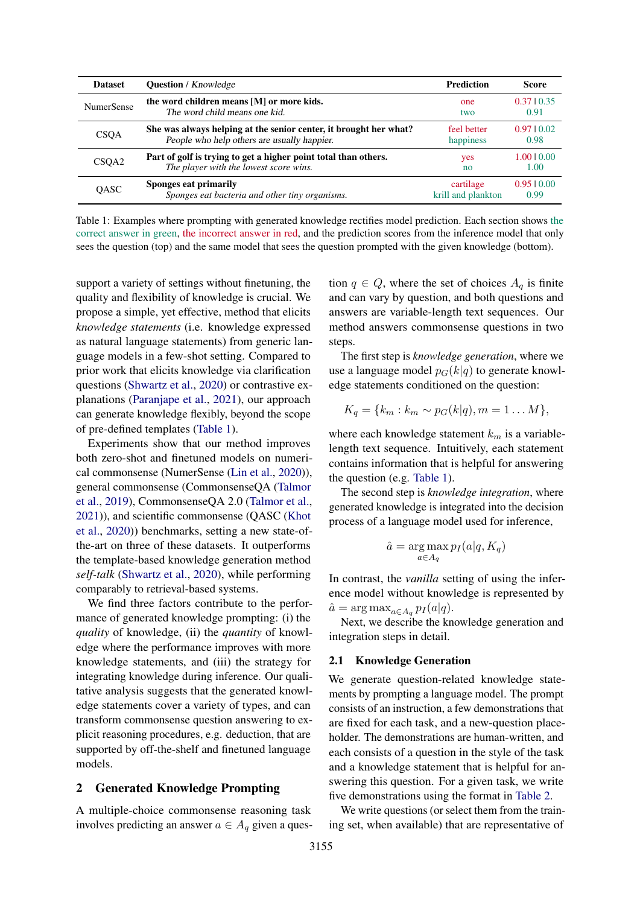<span id="page-1-0"></span>

| <b>Dataset</b>    | <b>Question</b> / Knowledge                                       | <b>Prediction</b>  | Score           |
|-------------------|-------------------------------------------------------------------|--------------------|-----------------|
| <b>NumerSense</b> | the word children means [M] or more kids.                         | one                | $0.37 \pm 0.35$ |
|                   | The word child means one kid.                                     | two                | 0.91            |
| <b>CSOA</b>       | She was always helping at the senior center, it brought her what? | feel better        | 0.9710.02       |
|                   | People who help others are usually happier.                       | happiness          | 0.98            |
| CSOA2             | Part of golf is trying to get a higher point total than others.   | yes                | 1.0010.00       |
|                   | The player with the lowest score wins.                            | no                 | 1.00            |
| OASC              | Sponges eat primarily                                             | cartilage          | 0.9510.00       |
|                   | Sponges eat bacteria and other tiny organisms.                    | krill and plankton | 0.99            |

Table 1: Examples where prompting with generated knowledge rectifies model prediction. Each section shows the correct answer in green, the incorrect answer in red, and the prediction scores from the inference model that only sees the question (top) and the same model that sees the question prompted with the given knowledge (bottom).

support a variety of settings without finetuning, the quality and flexibility of knowledge is crucial. We propose a simple, yet effective, method that elicits *knowledge statements* (i.e. knowledge expressed as natural language statements) from generic language models in a few-shot setting. Compared to prior work that elicits knowledge via clarification questions [\(Shwartz et al.,](#page-10-0) [2020\)](#page-10-0) or contrastive explanations [\(Paranjape et al.,](#page-9-4) [2021\)](#page-9-4), our approach can generate knowledge flexibly, beyond the scope of pre-defined templates [\(Table 1\)](#page-1-0).

Experiments show that our method improves both zero-shot and finetuned models on numerical commonsense (NumerSense [\(Lin et al.,](#page-9-5) [2020\)](#page-9-5)), general commonsense (CommonsenseQA [\(Talmor](#page-10-1) [et al.,](#page-10-1) [2019\)](#page-10-1), CommonsenseQA 2.0 [\(Talmor et al.,](#page-10-2) [2021\)](#page-10-2)), and scientific commonsense (QASC [\(Khot](#page-9-6) [et al.,](#page-9-6) [2020\)](#page-9-6)) benchmarks, setting a new state-ofthe-art on three of these datasets. It outperforms the template-based knowledge generation method *self-talk* [\(Shwartz et al.,](#page-10-0) [2020\)](#page-10-0), while performing comparably to retrieval-based systems.

We find three factors contribute to the performance of generated knowledge prompting: (i) the *quality* of knowledge, (ii) the *quantity* of knowledge where the performance improves with more knowledge statements, and (iii) the strategy for integrating knowledge during inference. Our qualitative analysis suggests that the generated knowledge statements cover a variety of types, and can transform commonsense question answering to explicit reasoning procedures, e.g. deduction, that are supported by off-the-shelf and finetuned language models.

### 2 Generated Knowledge Prompting

A multiple-choice commonsense reasoning task involves predicting an answer  $a \in A_q$  given a question  $q \in Q$ , where the set of choices  $A_q$  is finite and can vary by question, and both questions and answers are variable-length text sequences. Our method answers commonsense questions in two steps.

The first step is *knowledge generation*, where we use a language model  $p_G(k|q)$  to generate knowledge statements conditioned on the question:

$$
K_q = \{k_m : k_m \sim p_G(k|q), m = 1 \dots M\},\
$$

where each knowledge statement  $k_m$  is a variablelength text sequence. Intuitively, each statement contains information that is helpful for answering the question (e.g. [Table 1\)](#page-1-0).

The second step is *knowledge integration*, where generated knowledge is integrated into the decision process of a language model used for inference,

$$
\hat{a} = \underset{a \in A_q}{\arg \max} p_I(a|q, K_q)
$$

In contrast, the *vanilla* setting of using the inference model without knowledge is represented by  $\hat{a} = \arg \max_{a \in A_q} p_I(a|q).$ 

Next, we describe the knowledge generation and integration steps in detail.

### <span id="page-1-1"></span>2.1 Knowledge Generation

We generate question-related knowledge statements by prompting a language model. The prompt consists of an instruction, a few demonstrations that are fixed for each task, and a new-question placeholder. The demonstrations are human-written, and each consists of a question in the style of the task and a knowledge statement that is helpful for answering this question. For a given task, we write five demonstrations using the format in [Table 2.](#page-2-0)

We write questions (or select them from the training set, when available) that are representative of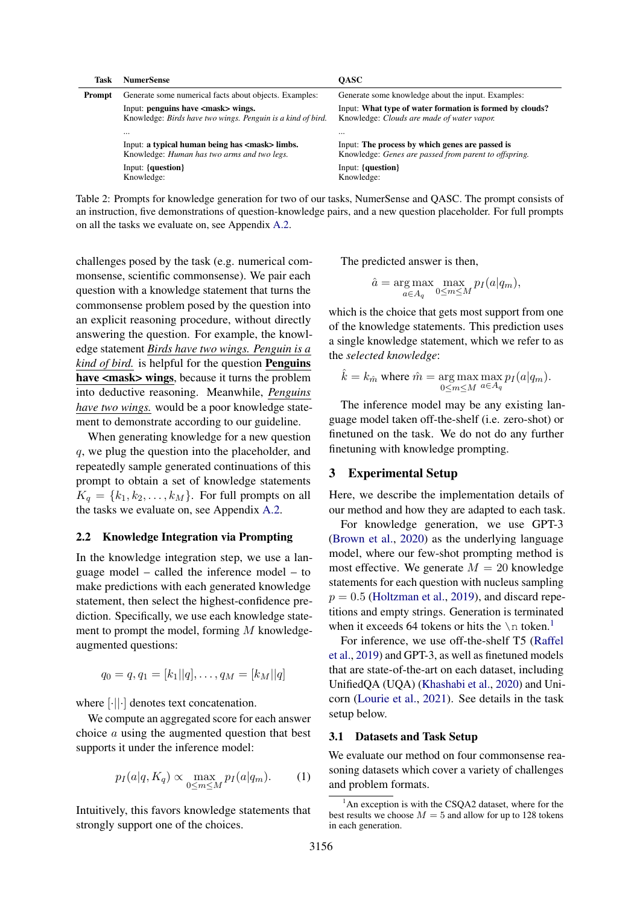<span id="page-2-0"></span>

| Task   | <b>NumerSense</b>                                                                                            | <b>OASC</b>                                                                                              |
|--------|--------------------------------------------------------------------------------------------------------------|----------------------------------------------------------------------------------------------------------|
| Prompt | Generate some numerical facts about objects. Examples:                                                       | Generate some knowledge about the input. Examples:                                                       |
|        | Input: penguins have <mask> wings.<br/>Knowledge: Birds have two wings. Penguin is a kind of bird.</mask>    | Input: What type of water formation is formed by clouds?<br>Knowledge: Clouds are made of water vapor.   |
|        |                                                                                                              |                                                                                                          |
|        | Input: a typical human being has <mask> limbs.<br/>Knowledge: <i>Human has two arms and two legs</i>.</mask> | Input: The process by which genes are passed is<br>Knowledge: Genes are passed from parent to offspring. |
|        | Input: {question}<br>Knowledge:                                                                              | Input: {question}<br>Knowledge:                                                                          |

Table 2: Prompts for knowledge generation for two of our tasks, NumerSense and QASC. The prompt consists of an instruction, five demonstrations of question-knowledge pairs, and a new question placeholder. For full prompts on all the tasks we evaluate on, see Appendix [A.2.](#page-11-0)

challenges posed by the task (e.g. numerical commonsense, scientific commonsense). We pair each question with a knowledge statement that turns the commonsense problem posed by the question into an explicit reasoning procedure, without directly answering the question. For example, the knowledge statement *Birds have two wings. Penguin is a kind of bird.* is helpful for the question Penguins have <mask> wings, because it turns the problem into deductive reasoning. Meanwhile, *Penguins have two wings.* would be a poor knowledge statement to demonstrate according to our guideline.

When generating knowledge for a new question q, we plug the question into the placeholder, and repeatedly sample generated continuations of this prompt to obtain a set of knowledge statements  $K_q = \{k_1, k_2, \ldots, k_M\}$ . For full prompts on all the tasks we evaluate on, see Appendix [A.2.](#page-11-0)

## <span id="page-2-2"></span>2.2 Knowledge Integration via Prompting

In the knowledge integration step, we use a language model – called the inference model – to make predictions with each generated knowledge statement, then select the highest-confidence prediction. Specifically, we use each knowledge statement to prompt the model, forming  $M$  knowledgeaugmented questions:

$$
q_0 = q, q_1 = [k_1||q], \ldots, q_M = [k_M||q]
$$

where [·||·] denotes text concatenation.

We compute an aggregated score for each answer choice a using the augmented question that best supports it under the inference model:

$$
p_I(a|q, K_q) \propto \max_{0 \le m \le M} p_I(a|q_m). \tag{1}
$$

Intuitively, this favors knowledge statements that strongly support one of the choices.

The predicted answer is then,

$$
\hat{a} = \underset{a \in A_q}{\arg \max} \max_{0 \le m \le M} p_I(a|q_m),
$$

which is the choice that gets most support from one of the knowledge statements. This prediction uses a single knowledge statement, which we refer to as the *selected knowledge*:

$$
\hat{k} = k_{\hat{m}} \text{ where } \hat{m} = \underset{0 \le m \le M}{\arg \max} \max_{a \in A_q} p_I(a|q_m).
$$

The inference model may be any existing language model taken off-the-shelf (i.e. zero-shot) or finetuned on the task. We do not do any further finetuning with knowledge prompting.

## 3 Experimental Setup

Here, we describe the implementation details of our method and how they are adapted to each task.

For knowledge generation, we use GPT-3 [\(Brown et al.,](#page-8-2) [2020\)](#page-8-2) as the underlying language model, where our few-shot prompting method is most effective. We generate  $M = 20$  knowledge statements for each question with nucleus sampling  $p = 0.5$  [\(Holtzman et al.,](#page-9-7) [2019\)](#page-9-7), and discard repetitions and empty strings. Generation is terminated when it exceeds 64 tokens or hits the  $\ln$  token.<sup>[1](#page-2-1)</sup>

For inference, we use off-the-shelf T5 [\(Raffel](#page-9-3) [et al.,](#page-9-3) [2019\)](#page-9-3) and GPT-3, as well as finetuned models that are state-of-the-art on each dataset, including UnifiedQA (UQA) [\(Khashabi et al.,](#page-9-1) [2020\)](#page-9-1) and Unicorn [\(Lourie et al.,](#page-9-2) [2021\)](#page-9-2). See details in the task setup below.

### 3.1 Datasets and Task Setup

<span id="page-2-3"></span>We evaluate our method on four commonsense reasoning datasets which cover a variety of challenges and problem formats.

<span id="page-2-1"></span> $1$ An exception is with the CSQA2 dataset, where for the best results we choose  $M = 5$  and allow for up to 128 tokens in each generation.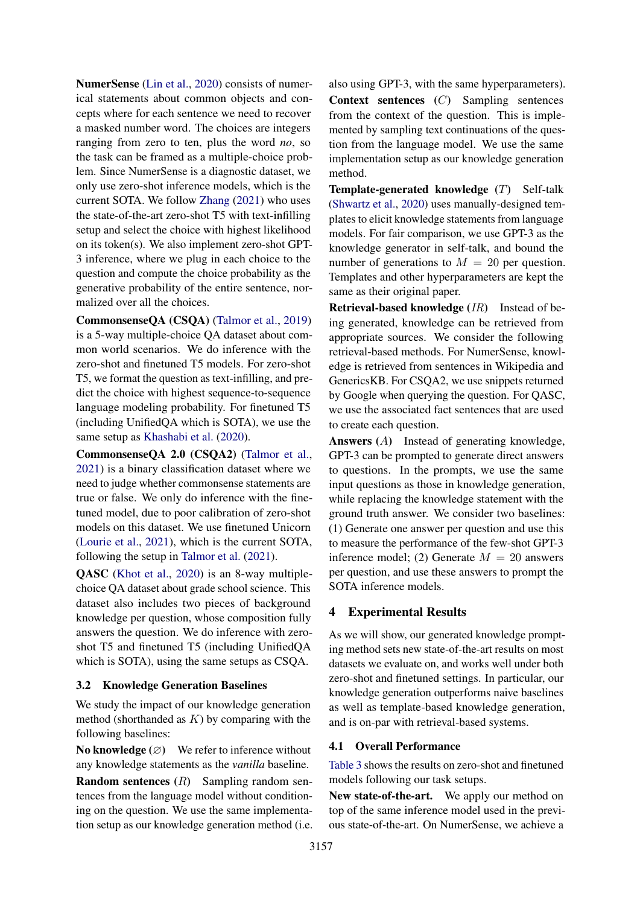NumerSense [\(Lin et al.,](#page-9-5) [2020\)](#page-9-5) consists of numerical statements about common objects and concepts where for each sentence we need to recover a masked number word. The choices are integers ranging from zero to ten, plus the word *no*, so the task can be framed as a multiple-choice problem. Since NumerSense is a diagnostic dataset, we only use zero-shot inference models, which is the current SOTA. We follow [Zhang](#page-10-3) [\(2021\)](#page-10-3) who uses the state-of-the-art zero-shot T5 with text-infilling setup and select the choice with highest likelihood on its token(s). We also implement zero-shot GPT-3 inference, where we plug in each choice to the question and compute the choice probability as the generative probability of the entire sentence, normalized over all the choices.

CommonsenseQA (CSQA) [\(Talmor et al.,](#page-10-1) [2019\)](#page-10-1) is a 5-way multiple-choice QA dataset about common world scenarios. We do inference with the zero-shot and finetuned T5 models. For zero-shot T5, we format the question as text-infilling, and predict the choice with highest sequence-to-sequence language modeling probability. For finetuned T5 (including UnifiedQA which is SOTA), we use the same setup as [Khashabi et al.](#page-9-1) [\(2020\)](#page-9-1).

CommonsenseQA 2.0 (CSQA2) [\(Talmor et al.,](#page-10-2) [2021\)](#page-10-2) is a binary classification dataset where we need to judge whether commonsense statements are true or false. We only do inference with the finetuned model, due to poor calibration of zero-shot models on this dataset. We use finetuned Unicorn [\(Lourie et al.,](#page-9-2) [2021\)](#page-9-2), which is the current SOTA, following the setup in [Talmor et al.](#page-10-2) [\(2021\)](#page-10-2).

QASC [\(Khot et al.,](#page-9-6) [2020\)](#page-9-6) is an 8-way multiplechoice QA dataset about grade school science. This dataset also includes two pieces of background knowledge per question, whose composition fully answers the question. We do inference with zeroshot T5 and finetuned T5 (including UnifiedQA which is SOTA), using the same setups as CSQA.

## 3.2 Knowledge Generation Baselines

We study the impact of our knowledge generation method (shorthanded as  $K$ ) by comparing with the following baselines:

No knowledge  $(\emptyset)$  We refer to inference without any knowledge statements as the *vanilla* baseline.

Random sentences (R) Sampling random sentences from the language model without conditioning on the question. We use the same implementation setup as our knowledge generation method (i.e. also using GPT-3, with the same hyperparameters). Context sentences (C) Sampling sentences from the context of the question. This is implemented by sampling text continuations of the question from the language model. We use the same implementation setup as our knowledge generation method.

**Template-generated knowledge**  $(T)$  Self-talk [\(Shwartz et al.,](#page-10-0) [2020\)](#page-10-0) uses manually-designed templates to elicit knowledge statements from language models. For fair comparison, we use GPT-3 as the knowledge generator in self-talk, and bound the number of generations to  $M = 20$  per question. Templates and other hyperparameters are kept the same as their original paper.

Retrieval-based knowledge (IR) Instead of being generated, knowledge can be retrieved from appropriate sources. We consider the following retrieval-based methods. For NumerSense, knowledge is retrieved from sentences in Wikipedia and GenericsKB. For CSQA2, we use snippets returned by Google when querying the question. For QASC, we use the associated fact sentences that are used to create each question.

Answers (A) Instead of generating knowledge, GPT-3 can be prompted to generate direct answers to questions. In the prompts, we use the same input questions as those in knowledge generation, while replacing the knowledge statement with the ground truth answer. We consider two baselines: (1) Generate one answer per question and use this to measure the performance of the few-shot GPT-3 inference model; (2) Generate  $M = 20$  answers per question, and use these answers to prompt the SOTA inference models.

# 4 Experimental Results

As we will show, our generated knowledge prompting method sets new state-of-the-art results on most datasets we evaluate on, and works well under both zero-shot and finetuned settings. In particular, our knowledge generation outperforms naive baselines as well as template-based knowledge generation, and is on-par with retrieval-based systems.

## 4.1 Overall Performance

[Table 3](#page-4-0) shows the results on zero-shot and finetuned models following our task setups.

New state-of-the-art. We apply our method on top of the same inference model used in the previous state-of-the-art. On NumerSense, we achieve a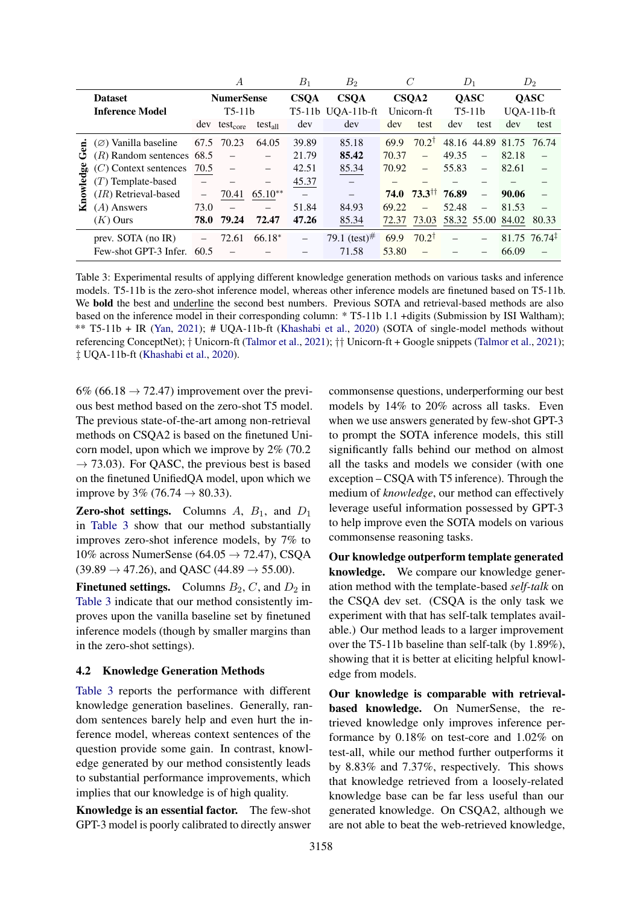<span id="page-4-0"></span>

|           |                                |                          | А                        |                   | $B_1$                    | $B_2$                    |             | C                        |       | $D_1$                    |                         | $D_2$                      |
|-----------|--------------------------------|--------------------------|--------------------------|-------------------|--------------------------|--------------------------|-------------|--------------------------|-------|--------------------------|-------------------------|----------------------------|
|           | <b>Dataset</b>                 |                          | <b>NumerSense</b>        |                   | <b>CSQA</b>              | <b>CSOA</b>              |             | CSQA2                    |       | <b>QASC</b>              |                         | <b>QASC</b>                |
|           | <b>Inference Model</b>         | $T5-11b$                 |                          |                   | T5-11b UQA-11b-ft        | Unicorn-ft               |             | $T5-11b$                 |       | $UOA-11b-ft$             |                         |                            |
|           |                                | dev                      | test <sub>core</sub>     | $test_{all}$      | dev                      | dev                      | dev         | test                     | dev   | test                     | dev                     | test                       |
| £         | $(\emptyset)$ Vanilla baseline | 67.5                     | 70.23                    | 64.05             | 39.89                    | 85.18                    | 69.9        | $70.2^{\dagger}$         |       |                          | 48.16 44.89 81.75 76.74 |                            |
| ئ         | $(R)$ Random sentences 68.5    |                          | $\overline{\phantom{0}}$ |                   | 21.79                    | 85.42                    | 70.37       | $\equiv$                 | 49.35 | $\overline{\phantom{0}}$ | 82.18                   |                            |
|           | $(C)$ Context sentences        | 70.5                     | $\overline{\phantom{0}}$ |                   | 42.51                    | 85.34                    | 70.92       | $\overline{\phantom{0}}$ | 55.83 | $\overline{\phantom{m}}$ | 82.61                   | $\overline{\phantom{0}}$   |
|           | $(T)$ Template-based           |                          |                          | $\qquad \qquad -$ | 45.37                    |                          |             |                          |       |                          |                         |                            |
| Knowledge | (IR) Retrieval-based           | $\overline{\phantom{m}}$ | 70.41                    | $65.10**$         |                          | $\overline{\phantom{0}}$ | <b>74.0</b> | $73.3^{\dagger\dagger}$  | 76.89 | $\equiv$                 | 90.06                   |                            |
|           | $(A)$ Answers                  | 73.0                     |                          |                   | 51.84                    | 84.93                    | 69.22       | $\equiv$                 | 52.48 | $\overline{\phantom{0}}$ | 81.53                   |                            |
|           | $(K)$ Ours                     | 78.0                     | 79.24                    | 72.47             | 47.26                    | 85.34                    | 72.37       | 73.03                    |       |                          | 58.32 55.00 84.02       | 80.33                      |
|           | prev. SOTA (no IR)             |                          | 72.61                    | $66.18*$          | $\overline{\phantom{0}}$ | 79.1 (test) $#$          | 69.9        | $70.2^{\dagger}$         |       |                          |                         | $81.75$ 76.74 <sup>‡</sup> |
|           | Few-shot GPT-3 Infer.          | 60.5                     |                          |                   |                          | 71.58                    | 53.80       |                          |       |                          | 66.09                   |                            |

Table 3: Experimental results of applying different knowledge generation methods on various tasks and inference models. T5-11b is the zero-shot inference model, whereas other inference models are finetuned based on T5-11b. We **bold** the best and underline the second best numbers. Previous SOTA and retrieval-based methods are also based on the inference model in their corresponding column: \* T5-11b 1.1 +digits (Submission by ISI Waltham); \*\* T5-11b + IR [\(Yan,](#page-10-4) [2021\)](#page-10-4); # UQA-11b-ft [\(Khashabi et al.,](#page-9-1) [2020\)](#page-9-1) (SOTA of single-model methods without referencing ConceptNet); † Unicorn-ft [\(Talmor et al.,](#page-10-2) [2021\)](#page-10-2); †† Unicorn-ft + Google snippets [\(Talmor et al.,](#page-10-2) [2021\)](#page-10-2); ‡ UQA-11b-ft [\(Khashabi et al.,](#page-9-1) [2020\)](#page-9-1).

6% (66.18  $\rightarrow$  72.47) improvement over the previous best method based on the zero-shot T5 model. The previous state-of-the-art among non-retrieval methods on CSQA2 is based on the finetuned Unicorn model, upon which we improve by 2% (70.2  $\rightarrow$  73.03). For QASC, the previous best is based on the finetuned UnifiedQA model, upon which we improve by 3% (76.74  $\rightarrow$  80.33).

**Zero-shot settings.** Columns  $A$ ,  $B_1$ , and  $D_1$ in [Table 3](#page-4-0) show that our method substantially improves zero-shot inference models, by 7% to 10% across NumerSense (64.05  $\rightarrow$  72.47), CSQA  $(39.89 \rightarrow 47.26)$ , and QASC  $(44.89 \rightarrow 55.00)$ .

**Finetuned settings.** Columns  $B_2$ , C, and  $D_2$  in [Table 3](#page-4-0) indicate that our method consistently improves upon the vanilla baseline set by finetuned inference models (though by smaller margins than in the zero-shot settings).

## 4.2 Knowledge Generation Methods

[Table 3](#page-4-0) reports the performance with different knowledge generation baselines. Generally, random sentences barely help and even hurt the inference model, whereas context sentences of the question provide some gain. In contrast, knowledge generated by our method consistently leads to substantial performance improvements, which implies that our knowledge is of high quality.

Knowledge is an essential factor. The few-shot GPT-3 model is poorly calibrated to directly answer commonsense questions, underperforming our best models by 14% to 20% across all tasks. Even when we use answers generated by few-shot GPT-3 to prompt the SOTA inference models, this still significantly falls behind our method on almost all the tasks and models we consider (with one exception – CSQA with T5 inference). Through the medium of *knowledge*, our method can effectively leverage useful information possessed by GPT-3 to help improve even the SOTA models on various commonsense reasoning tasks.

Our knowledge outperform template generated knowledge. We compare our knowledge generation method with the template-based *self-talk* on the CSQA dev set. (CSQA is the only task we experiment with that has self-talk templates available.) Our method leads to a larger improvement over the T5-11b baseline than self-talk (by 1.89%), showing that it is better at eliciting helpful knowledge from models.

Our knowledge is comparable with retrievalbased knowledge. On NumerSense, the retrieved knowledge only improves inference performance by 0.18% on test-core and 1.02% on test-all, while our method further outperforms it by 8.83% and 7.37%, respectively. This shows that knowledge retrieved from a loosely-related knowledge base can be far less useful than our generated knowledge. On CSQA2, although we are not able to beat the web-retrieved knowledge,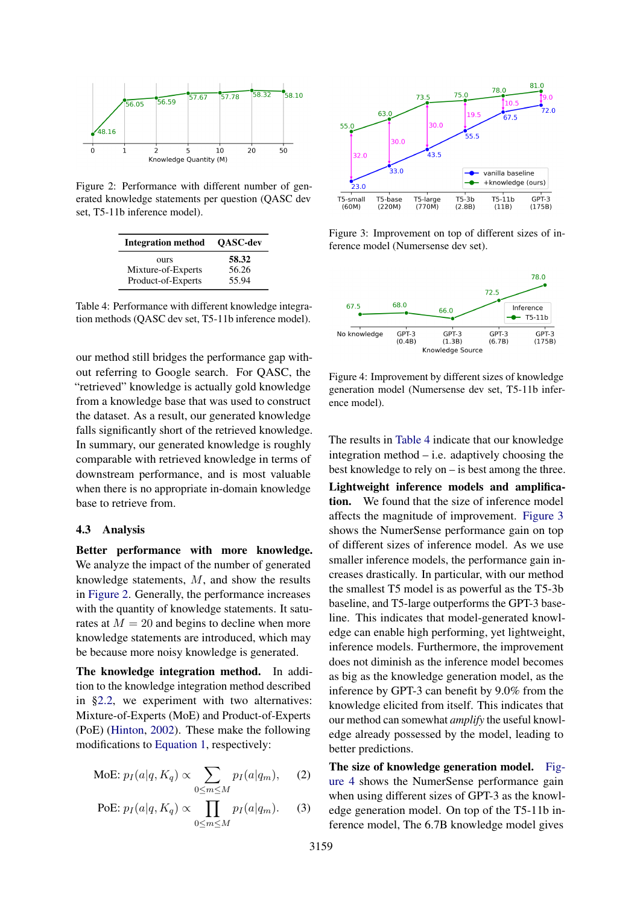<span id="page-5-0"></span>

Figure 2: Performance with different number of generated knowledge statements per question (QASC dev set, T5-11b inference model).

<span id="page-5-1"></span>

| <b>Integration method</b> | <b>OASC-dev</b> |
|---------------------------|-----------------|
| <b>OUTS</b>               | 58.32           |
| Mixture-of-Experts        | 56.26           |
| Product-of-Experts        | 55.94           |

Table 4: Performance with different knowledge integration methods (QASC dev set, T5-11b inference model).

our method still bridges the performance gap without referring to Google search. For QASC, the "retrieved" knowledge is actually gold knowledge from a knowledge base that was used to construct the dataset. As a result, our generated knowledge falls significantly short of the retrieved knowledge. In summary, our generated knowledge is roughly comparable with retrieved knowledge in terms of downstream performance, and is most valuable when there is no appropriate in-domain knowledge base to retrieve from.

#### 4.3 Analysis

Better performance with more knowledge. We analyze the impact of the number of generated knowledge statements, M, and show the results in [Figure 2.](#page-5-0) Generally, the performance increases with the quantity of knowledge statements. It saturates at  $M = 20$  and begins to decline when more knowledge statements are introduced, which may be because more noisy knowledge is generated.

The knowledge integration method. In addition to the knowledge integration method described in [§2.2,](#page-2-2) we experiment with two alternatives: Mixture-of-Experts (MoE) and Product-of-Experts (PoE) [\(Hinton,](#page-9-8) [2002\)](#page-9-8). These make the following modifications to [Equation 1,](#page-2-3) respectively:

$$
\text{MoE: } p_I(a|q, K_q) \propto \sum_{0 \le m \le M} p_I(a|q_m), \quad (2)
$$

PoE: 
$$
p_I(a|q, K_q) \propto \prod_{0 \le m \le M} p_I(a|q_m)
$$
. (3)

<span id="page-5-2"></span>

Figure 3: Improvement on top of different sizes of inference model (Numersense dev set).

<span id="page-5-3"></span>

Figure 4: Improvement by different sizes of knowledge generation model (Numersense dev set, T5-11b inference model).

The results in [Table 4](#page-5-1) indicate that our knowledge integration method  $-$  i.e. adaptively choosing the best knowledge to rely on – is best among the three.

Lightweight inference models and amplification. We found that the size of inference model affects the magnitude of improvement. [Figure 3](#page-5-2) shows the NumerSense performance gain on top of different sizes of inference model. As we use smaller inference models, the performance gain increases drastically. In particular, with our method the smallest T5 model is as powerful as the T5-3b baseline, and T5-large outperforms the GPT-3 baseline. This indicates that model-generated knowledge can enable high performing, yet lightweight, inference models. Furthermore, the improvement does not diminish as the inference model becomes as big as the knowledge generation model, as the inference by GPT-3 can benefit by 9.0% from the knowledge elicited from itself. This indicates that our method can somewhat *amplify* the useful knowledge already possessed by the model, leading to better predictions.

The size of knowledge generation model. [Fig](#page-5-3)[ure 4](#page-5-3) shows the NumerSense performance gain when using different sizes of GPT-3 as the knowledge generation model. On top of the T5-11b inference model, The 6.7B knowledge model gives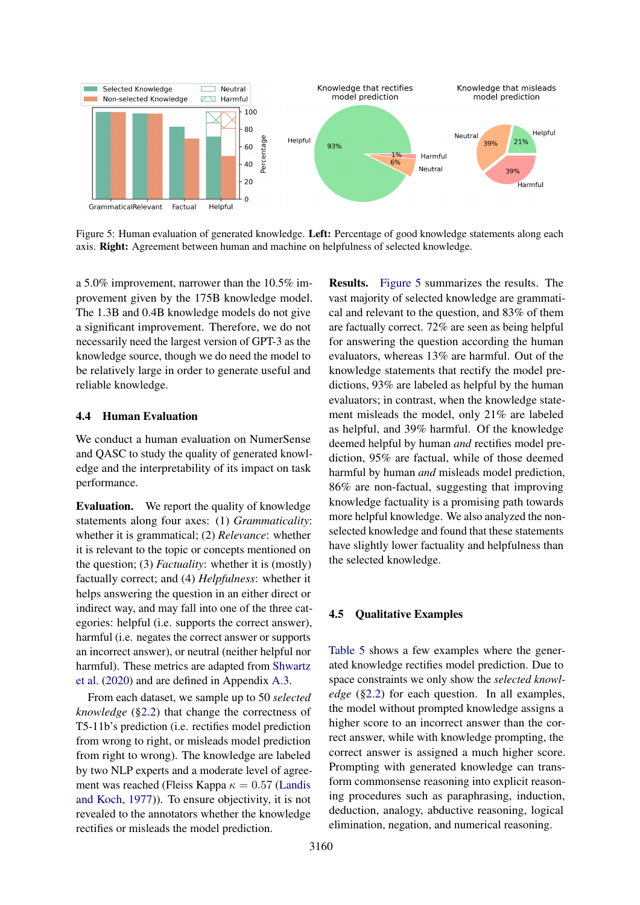<span id="page-6-0"></span>

Figure 5: Human evaluation of generated knowledge. Left: Percentage of good knowledge statements along each axis. Right: Agreement between human and machine on helpfulness of selected knowledge.

a 5.0% improvement, narrower than the 10.5% improvement given by the 175B knowledge model. The 1.3B and 0.4B knowledge models do not give a significant improvement. Therefore, we do not necessarily need the largest version of GPT-3 as the knowledge source, though we do need the model to be relatively large in order to generate useful and reliable knowledge.

### 4.4 Human Evaluation

We conduct a human evaluation on NumerSense and QASC to study the quality of generated knowledge and the interpretability of its impact on task performance.

Evaluation. We report the quality of knowledge statements along four axes: (1) *Grammaticality*: whether it is grammatical; (2) *Relevance*: whether it is relevant to the topic or concepts mentioned on the question; (3) *Factuality*: whether it is (mostly) factually correct; and (4) *Helpfulness*: whether it helps answering the question in an either direct or indirect way, and may fall into one of the three categories: helpful (i.e. supports the correct answer), harmful (i.e. negates the correct answer or supports an incorrect answer), or neutral (neither helpful nor harmful). These metrics are adapted from [Shwartz](#page-10-0) [et al.](#page-10-0) [\(2020\)](#page-10-0) and are defined in Appendix [A.3.](#page-11-1)

From each dataset, we sample up to 50 *selected knowledge* ([§2.2\)](#page-2-2) that change the correctness of T5-11b's prediction (i.e. rectifies model prediction from wrong to right, or misleads model prediction from right to wrong). The knowledge are labeled by two NLP experts and a moderate level of agreement was reached (Fleiss Kappa  $\kappa = 0.57$  [\(Landis](#page-9-9) [and Koch,](#page-9-9) [1977\)](#page-9-9)). To ensure objectivity, it is not revealed to the annotators whether the knowledge rectifies or misleads the model prediction.

Results. [Figure 5](#page-6-0) summarizes the results. The vast majority of selected knowledge are grammatical and relevant to the question, and 83% of them are factually correct. 72% are seen as being helpful for answering the question according the human evaluators, whereas 13% are harmful. Out of the knowledge statements that rectify the model predictions, 93% are labeled as helpful by the human evaluators; in contrast, when the knowledge statement misleads the model, only 21% are labeled as helpful, and 39% harmful. Of the knowledge deemed helpful by human *and* rectifies model prediction, 95% are factual, while of those deemed harmful by human *and* misleads model prediction, 86% are non-factual, suggesting that improving knowledge factuality is a promising path towards more helpful knowledge. We also analyzed the nonselected knowledge and found that these statements have slightly lower factuality and helpfulness than the selected knowledge.

#### 4.5 Qualitative Examples

[Table 5](#page-7-0) shows a few examples where the generated knowledge rectifies model prediction. Due to space constraints we only show the *selected knowledge* ([§2.2\)](#page-2-2) for each question. In all examples, the model without prompted knowledge assigns a higher score to an incorrect answer than the correct answer, while with knowledge prompting, the correct answer is assigned a much higher score. Prompting with generated knowledge can transform commonsense reasoning into explicit reasoning procedures such as paraphrasing, induction, deduction, analogy, abductive reasoning, logical elimination, negation, and numerical reasoning.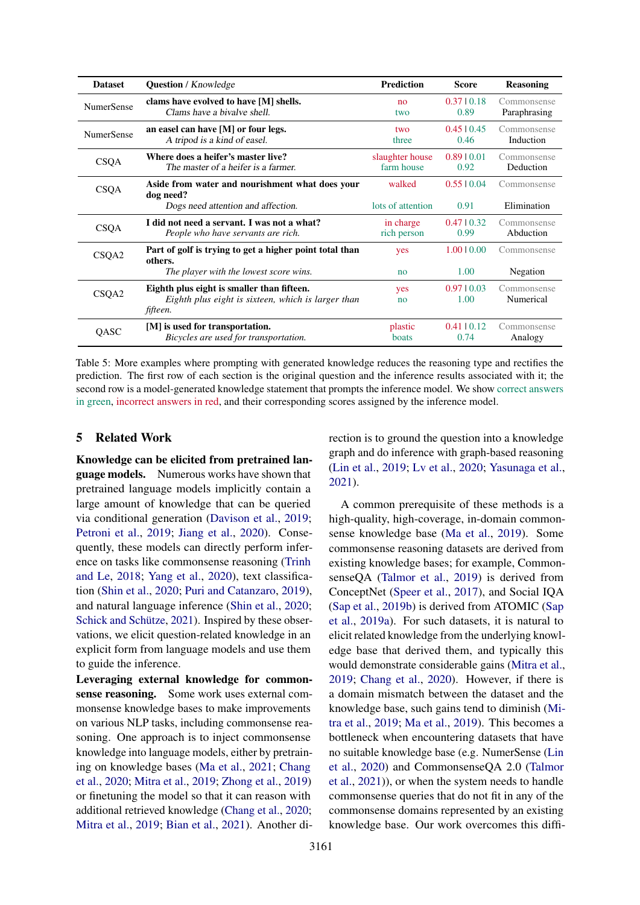<span id="page-7-0"></span>

| <b>Dataset</b>    | <b>Question</b> / Knowledge                                                                                  | <b>Prediction</b>             | <b>Score</b>             | <b>Reasoning</b>            |
|-------------------|--------------------------------------------------------------------------------------------------------------|-------------------------------|--------------------------|-----------------------------|
| <b>NumerSense</b> | clams have evolved to have [M] shells.<br>Clams have a bivalve shell.                                        | no<br>two                     | 0.3710.18<br>0.89        | Commonsense<br>Paraphrasing |
| <b>NumerSense</b> | an easel can have [M] or four legs.<br>A tripod is a kind of easel.                                          | two<br>three                  | $0.45 \mid 0.45$<br>0.46 | Commonsense<br>Induction    |
| <b>CSQA</b>       | Where does a heifer's master live?<br>The master of a heifer is a farmer.                                    | slaughter house<br>farm house | 0.8910.01<br>0.92        | Commonsense<br>Deduction    |
| <b>CSQA</b>       | Aside from water and nourishment what does your<br>dog need?                                                 | walked                        | 0.5510.04                | Commonsense                 |
|                   | Dogs need attention and affection.                                                                           | lots of attention             | 0.91                     | Elimination                 |
| <b>CSQA</b>       | I did not need a servant. I was not a what?<br>People who have servants are rich.                            | in charge<br>rich person      | 0.4710.32<br>0.99        | Commonsense<br>Abduction    |
| CSQA2             | Part of golf is trying to get a higher point total than<br>others.                                           | yes                           | 1.0010.00                | Commonsense                 |
|                   | The player with the lowest score wins.                                                                       | no                            | 1.00                     | Negation                    |
| CSQA2             | Eighth plus eight is smaller than fifteen.<br>Eighth plus eight is sixteen, which is larger than<br>fifteen. | yes<br>no                     | 0.9710.03<br>1.00        | Commonsense<br>Numerical    |
| <b>OASC</b>       | [M] is used for transportation.<br>Bicycles are used for transportation.                                     | plastic<br>boats              | $0.41 \pm 0.12$<br>0.74  | Commonsense<br>Analogy      |

Table 5: More examples where prompting with generated knowledge reduces the reasoning type and rectifies the prediction. The first row of each section is the original question and the inference results associated with it; the second row is a model-generated knowledge statement that prompts the inference model. We show correct answers in green, incorrect answers in red, and their corresponding scores assigned by the inference model.

## 5 Related Work

Knowledge can be elicited from pretrained language models. Numerous works have shown that pretrained language models implicitly contain a large amount of knowledge that can be queried via conditional generation [\(Davison et al.,](#page-8-3) [2019;](#page-8-3) [Petroni et al.,](#page-9-10) [2019;](#page-9-10) [Jiang et al.,](#page-9-11) [2020\)](#page-9-11). Consequently, these models can directly perform inference on tasks like commonsense reasoning [\(Trinh](#page-10-5) [and Le,](#page-10-5) [2018;](#page-10-5) [Yang et al.,](#page-10-6) [2020\)](#page-10-6), text classification [\(Shin et al.,](#page-10-7) [2020;](#page-10-7) [Puri and Catanzaro,](#page-9-12) [2019\)](#page-9-12), and natural language inference [\(Shin et al.,](#page-10-7) [2020;](#page-10-7) [Schick and Schütze,](#page-10-8) [2021\)](#page-10-8). Inspired by these observations, we elicit question-related knowledge in an explicit form from language models and use them to guide the inference.

Leveraging external knowledge for commonsense reasoning. Some work uses external commonsense knowledge bases to make improvements on various NLP tasks, including commonsense reasoning. One approach is to inject commonsense knowledge into language models, either by pretraining on knowledge bases [\(Ma et al.,](#page-9-13) [2021;](#page-9-13) [Chang](#page-8-1) [et al.,](#page-8-1) [2020;](#page-8-1) [Mitra et al.,](#page-9-0) [2019;](#page-9-0) [Zhong et al.,](#page-10-9) [2019\)](#page-10-9) or finetuning the model so that it can reason with additional retrieved knowledge [\(Chang et al.,](#page-8-1) [2020;](#page-8-1) [Mitra et al.,](#page-9-0) [2019;](#page-9-0) [Bian et al.,](#page-8-0) [2021\)](#page-8-0). Another direction is to ground the question into a knowledge graph and do inference with graph-based reasoning [\(Lin et al.,](#page-9-14) [2019;](#page-9-14) [Lv et al.,](#page-9-15) [2020;](#page-9-15) [Yasunaga et al.,](#page-10-10) [2021\)](#page-10-10).

A common prerequisite of these methods is a high-quality, high-coverage, in-domain commonsense knowledge base [\(Ma et al.,](#page-9-16) [2019\)](#page-9-16). Some commonsense reasoning datasets are derived from existing knowledge bases; for example, CommonsenseQA [\(Talmor et al.,](#page-10-1) [2019\)](#page-10-1) is derived from ConceptNet [\(Speer et al.,](#page-10-11) [2017\)](#page-10-11), and Social IQA [\(Sap et al.,](#page-10-12) [2019b\)](#page-10-12) is derived from ATOMIC [\(Sap](#page-9-17) [et al.,](#page-9-17) [2019a\)](#page-9-17). For such datasets, it is natural to elicit related knowledge from the underlying knowledge base that derived them, and typically this would demonstrate considerable gains [\(Mitra et al.,](#page-9-0) [2019;](#page-9-0) [Chang et al.,](#page-8-1) [2020\)](#page-8-1). However, if there is a domain mismatch between the dataset and the knowledge base, such gains tend to diminish [\(Mi](#page-9-0)[tra et al.,](#page-9-0) [2019;](#page-9-0) [Ma et al.,](#page-9-16) [2019\)](#page-9-16). This becomes a bottleneck when encountering datasets that have no suitable knowledge base (e.g. NumerSense [\(Lin](#page-9-5) [et al.,](#page-9-5) [2020\)](#page-9-5) and CommonsenseQA 2.0 [\(Talmor](#page-10-2) [et al.,](#page-10-2) [2021\)](#page-10-2)), or when the system needs to handle commonsense queries that do not fit in any of the commonsense domains represented by an existing knowledge base. Our work overcomes this diffi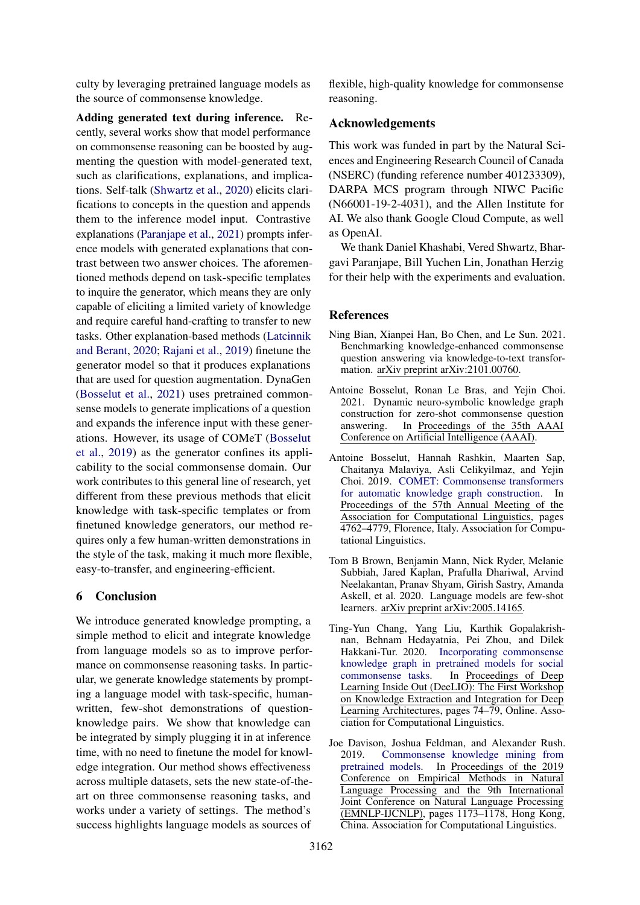culty by leveraging pretrained language models as the source of commonsense knowledge.

Adding generated text during inference. Recently, several works show that model performance on commonsense reasoning can be boosted by augmenting the question with model-generated text, such as clarifications, explanations, and implications. Self-talk [\(Shwartz et al.,](#page-10-0) [2020\)](#page-10-0) elicits clarifications to concepts in the question and appends them to the inference model input. Contrastive explanations [\(Paranjape et al.,](#page-9-4) [2021\)](#page-9-4) prompts inference models with generated explanations that contrast between two answer choices. The aforementioned methods depend on task-specific templates to inquire the generator, which means they are only capable of eliciting a limited variety of knowledge and require careful hand-crafting to transfer to new tasks. Other explanation-based methods [\(Latcinnik](#page-9-18) [and Berant,](#page-9-18) [2020;](#page-9-18) [Rajani et al.,](#page-9-19) [2019\)](#page-9-19) finetune the generator model so that it produces explanations that are used for question augmentation. DynaGen [\(Bosselut et al.,](#page-8-4) [2021\)](#page-8-4) uses pretrained commonsense models to generate implications of a question and expands the inference input with these generations. However, its usage of COMeT [\(Bosselut](#page-8-5) [et al.,](#page-8-5) [2019\)](#page-8-5) as the generator confines its applicability to the social commonsense domain. Our work contributes to this general line of research, yet different from these previous methods that elicit knowledge with task-specific templates or from finetuned knowledge generators, our method requires only a few human-written demonstrations in the style of the task, making it much more flexible, easy-to-transfer, and engineering-efficient.

## 6 Conclusion

We introduce generated knowledge prompting, a simple method to elicit and integrate knowledge from language models so as to improve performance on commonsense reasoning tasks. In particular, we generate knowledge statements by prompting a language model with task-specific, humanwritten, few-shot demonstrations of questionknowledge pairs. We show that knowledge can be integrated by simply plugging it in at inference time, with no need to finetune the model for knowledge integration. Our method shows effectiveness across multiple datasets, sets the new state-of-theart on three commonsense reasoning tasks, and works under a variety of settings. The method's success highlights language models as sources of

flexible, high-quality knowledge for commonsense reasoning.

### Acknowledgements

This work was funded in part by the Natural Sciences and Engineering Research Council of Canada (NSERC) (funding reference number 401233309), DARPA MCS program through NIWC Pacific (N66001-19-2-4031), and the Allen Institute for AI. We also thank Google Cloud Compute, as well as OpenAI.

We thank Daniel Khashabi, Vered Shwartz, Bhargavi Paranjape, Bill Yuchen Lin, Jonathan Herzig for their help with the experiments and evaluation.

### **References**

- <span id="page-8-0"></span>Ning Bian, Xianpei Han, Bo Chen, and Le Sun. 2021. Benchmarking knowledge-enhanced commonsense question answering via knowledge-to-text transformation. arXiv preprint arXiv:2101.00760.
- <span id="page-8-4"></span>Antoine Bosselut, Ronan Le Bras, and Yejin Choi. 2021. Dynamic neuro-symbolic knowledge graph construction for zero-shot commonsense question answering. In Proceedings of the 35th AAAI Conference on Artificial Intelligence (AAAI).
- <span id="page-8-5"></span>Antoine Bosselut, Hannah Rashkin, Maarten Sap, Chaitanya Malaviya, Asli Celikyilmaz, and Yejin Choi. 2019. [COMET: Commonsense transformers](https://doi.org/10.18653/v1/P19-1470) [for automatic knowledge graph construction.](https://doi.org/10.18653/v1/P19-1470) In Proceedings of the 57th Annual Meeting of the Association for Computational Linguistics, pages 4762–4779, Florence, Italy. Association for Computational Linguistics.
- <span id="page-8-2"></span>Tom B Brown, Benjamin Mann, Nick Ryder, Melanie Subbiah, Jared Kaplan, Prafulla Dhariwal, Arvind Neelakantan, Pranav Shyam, Girish Sastry, Amanda Askell, et al. 2020. Language models are few-shot learners. arXiv preprint arXiv:2005.14165.
- <span id="page-8-1"></span>Ting-Yun Chang, Yang Liu, Karthik Gopalakrishnan, Behnam Hedayatnia, Pei Zhou, and Dilek Hakkani-Tur. 2020. [Incorporating commonsense](https://doi.org/10.18653/v1/2020.deelio-1.9) [knowledge graph in pretrained models for social](https://doi.org/10.18653/v1/2020.deelio-1.9) [commonsense tasks.](https://doi.org/10.18653/v1/2020.deelio-1.9) In Proceedings of Deep Learning Inside Out (DeeLIO): The First Workshop on Knowledge Extraction and Integration for Deep Learning Architectures, pages 74–79, Online. Association for Computational Linguistics.
- <span id="page-8-3"></span>Joe Davison, Joshua Feldman, and Alexander Rush. 2019. [Commonsense knowledge mining from](https://doi.org/10.18653/v1/D19-1109) [pretrained models.](https://doi.org/10.18653/v1/D19-1109) In Proceedings of the 2019 Conference on Empirical Methods in Natural Language Processing and the 9th International Joint Conference on Natural Language Processing (EMNLP-IJCNLP), pages 1173–1178, Hong Kong, China. Association for Computational Linguistics.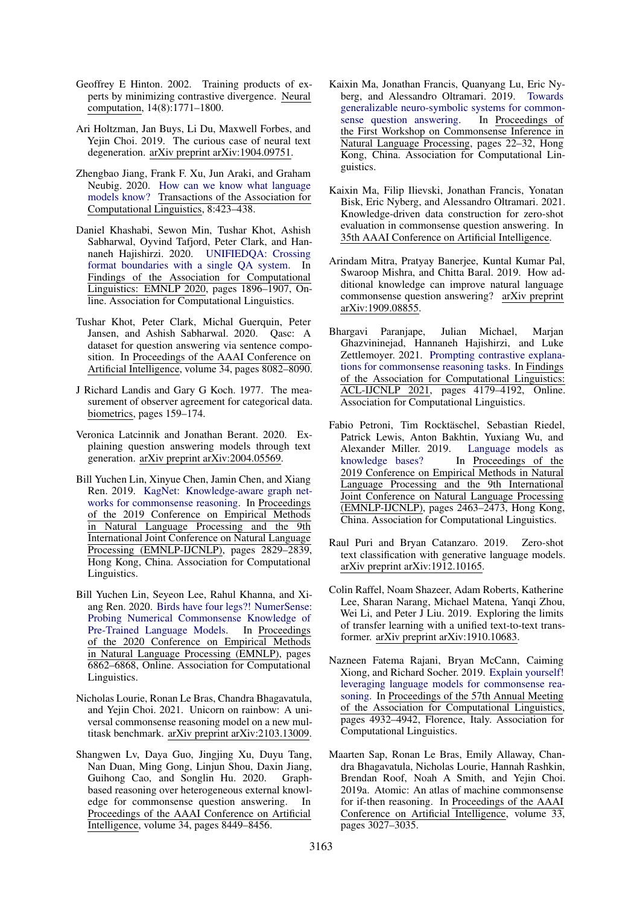- <span id="page-9-8"></span>Geoffrey E Hinton. 2002. Training products of experts by minimizing contrastive divergence. Neural computation, 14(8):1771–1800.
- <span id="page-9-7"></span>Ari Holtzman, Jan Buys, Li Du, Maxwell Forbes, and Yejin Choi. 2019. The curious case of neural text degeneration. arXiv preprint arXiv:1904.09751.
- <span id="page-9-11"></span>Zhengbao Jiang, Frank F. Xu, Jun Araki, and Graham Neubig. 2020. [How can we know what language](https://doi.org/10.1162/tacl_a_00324) [models know?](https://doi.org/10.1162/tacl_a_00324) Transactions of the Association for Computational Linguistics, 8:423–438.
- <span id="page-9-1"></span>Daniel Khashabi, Sewon Min, Tushar Khot, Ashish Sabharwal, Oyvind Tafjord, Peter Clark, and Hannaneh Hajishirzi. 2020. [UNIFIEDQA: Crossing](https://doi.org/10.18653/v1/2020.findings-emnlp.171) [format boundaries with a single QA system.](https://doi.org/10.18653/v1/2020.findings-emnlp.171) In Findings of the Association for Computational Linguistics: EMNLP 2020, pages 1896–1907, Online. Association for Computational Linguistics.
- <span id="page-9-6"></span>Tushar Khot, Peter Clark, Michal Guerquin, Peter Jansen, and Ashish Sabharwal. 2020. Qasc: A dataset for question answering via sentence composition. In Proceedings of the AAAI Conference on Artificial Intelligence, volume 34, pages 8082–8090.
- <span id="page-9-9"></span>J Richard Landis and Gary G Koch. 1977. The measurement of observer agreement for categorical data. biometrics, pages 159–174.
- <span id="page-9-18"></span>Veronica Latcinnik and Jonathan Berant. 2020. Explaining question answering models through text generation. arXiv preprint arXiv:2004.05569.
- <span id="page-9-14"></span>Bill Yuchen Lin, Xinyue Chen, Jamin Chen, and Xiang Ren. 2019. [KagNet: Knowledge-aware graph net](https://doi.org/10.18653/v1/D19-1282)[works for commonsense reasoning.](https://doi.org/10.18653/v1/D19-1282) In Proceedings of the 2019 Conference on Empirical Methods in Natural Language Processing and the 9th International Joint Conference on Natural Language Processing (EMNLP-IJCNLP), pages 2829–2839, Hong Kong, China. Association for Computational Linguistics.
- <span id="page-9-5"></span>Bill Yuchen Lin, Seyeon Lee, Rahul Khanna, and Xiang Ren. 2020. [Birds have four legs?! NumerSense:](https://doi.org/10.18653/v1/2020.emnlp-main.557) [Probing Numerical Commonsense Knowledge of](https://doi.org/10.18653/v1/2020.emnlp-main.557) [Pre-Trained Language Models.](https://doi.org/10.18653/v1/2020.emnlp-main.557) In Proceedings of the 2020 Conference on Empirical Methods in Natural Language Processing (EMNLP), pages 6862–6868, Online. Association for Computational Linguistics.
- <span id="page-9-2"></span>Nicholas Lourie, Ronan Le Bras, Chandra Bhagavatula, and Yejin Choi. 2021. Unicorn on rainbow: A universal commonsense reasoning model on a new multitask benchmark. arXiv preprint arXiv:2103.13009.
- <span id="page-9-15"></span>Shangwen Lv, Daya Guo, Jingjing Xu, Duyu Tang, Nan Duan, Ming Gong, Linjun Shou, Daxin Jiang, Guihong Cao, and Songlin Hu. 2020. Graphbased reasoning over heterogeneous external knowledge for commonsense question answering. In Proceedings of the AAAI Conference on Artificial Intelligence, volume 34, pages 8449–8456.
- <span id="page-9-16"></span>Kaixin Ma, Jonathan Francis, Quanyang Lu, Eric Nyberg, and Alessandro Oltramari. 2019. [Towards](https://doi.org/10.18653/v1/D19-6003) [generalizable neuro-symbolic systems for common](https://doi.org/10.18653/v1/D19-6003)[sense question answering.](https://doi.org/10.18653/v1/D19-6003) In Proceedings of the First Workshop on Commonsense Inference in Natural Language Processing, pages 22–32, Hong Kong, China. Association for Computational Linguistics.
- <span id="page-9-13"></span>Kaixin Ma, Filip Ilievski, Jonathan Francis, Yonatan Bisk, Eric Nyberg, and Alessandro Oltramari. 2021. Knowledge-driven data construction for zero-shot evaluation in commonsense question answering. In 35th AAAI Conference on Artificial Intelligence.
- <span id="page-9-0"></span>Arindam Mitra, Pratyay Banerjee, Kuntal Kumar Pal, Swaroop Mishra, and Chitta Baral. 2019. How additional knowledge can improve natural language commonsense question answering? arXiv preprint arXiv:1909.08855.
- <span id="page-9-4"></span>Bhargavi Paranjape, Julian Michael, Marjan Ghazvininejad, Hannaneh Hajishirzi, and Luke Zettlemoyer. 2021. [Prompting contrastive explana](https://doi.org/10.18653/v1/2021.findings-acl.366)[tions for commonsense reasoning tasks.](https://doi.org/10.18653/v1/2021.findings-acl.366) In Findings of the Association for Computational Linguistics: ACL-IJCNLP 2021, pages 4179–4192, Online. Association for Computational Linguistics.
- <span id="page-9-10"></span>Fabio Petroni, Tim Rocktäschel, Sebastian Riedel, Patrick Lewis, Anton Bakhtin, Yuxiang Wu, and Alexander Miller. 2019. [Language models as](https://doi.org/10.18653/v1/D19-1250) [knowledge bases?](https://doi.org/10.18653/v1/D19-1250) In Proceedings of the 2019 Conference on Empirical Methods in Natural Language Processing and the 9th International Joint Conference on Natural Language Processing (EMNLP-IJCNLP), pages 2463–2473, Hong Kong, China. Association for Computational Linguistics.
- <span id="page-9-12"></span>Raul Puri and Bryan Catanzaro. 2019. Zero-shot text classification with generative language models. arXiv preprint arXiv:1912.10165.
- <span id="page-9-3"></span>Colin Raffel, Noam Shazeer, Adam Roberts, Katherine Lee, Sharan Narang, Michael Matena, Yanqi Zhou, Wei Li, and Peter J Liu. 2019. Exploring the limits of transfer learning with a unified text-to-text transformer. arXiv preprint arXiv:1910.10683.
- <span id="page-9-19"></span>Nazneen Fatema Rajani, Bryan McCann, Caiming Xiong, and Richard Socher. 2019. [Explain yourself!](https://doi.org/10.18653/v1/P19-1487) [leveraging language models for commonsense rea](https://doi.org/10.18653/v1/P19-1487)[soning.](https://doi.org/10.18653/v1/P19-1487) In Proceedings of the 57th Annual Meeting of the Association for Computational Linguistics, pages 4932–4942, Florence, Italy. Association for Computational Linguistics.
- <span id="page-9-17"></span>Maarten Sap, Ronan Le Bras, Emily Allaway, Chandra Bhagavatula, Nicholas Lourie, Hannah Rashkin, Brendan Roof, Noah A Smith, and Yejin Choi. 2019a. Atomic: An atlas of machine commonsense for if-then reasoning. In Proceedings of the AAAI Conference on Artificial Intelligence, volume 33, pages 3027–3035.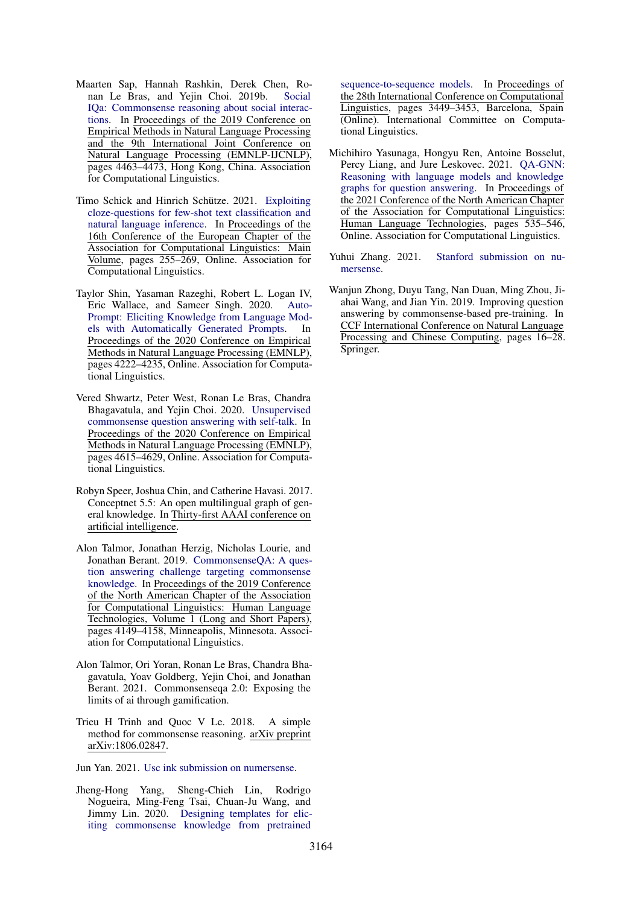- <span id="page-10-12"></span>Maarten Sap, Hannah Rashkin, Derek Chen, Ronan Le Bras, and Yejin Choi. 2019b. [Social](https://doi.org/10.18653/v1/D19-1454) [IQa: Commonsense reasoning about social interac](https://doi.org/10.18653/v1/D19-1454)[tions.](https://doi.org/10.18653/v1/D19-1454) In Proceedings of the 2019 Conference on Empirical Methods in Natural Language Processing and the 9th International Joint Conference on Natural Language Processing (EMNLP-IJCNLP), pages 4463–4473, Hong Kong, China. Association for Computational Linguistics.
- <span id="page-10-8"></span>Timo Schick and Hinrich Schütze. 2021. [Exploiting](https://aclanthology.org/2021.eacl-main.20) [cloze-questions for few-shot text classification and](https://aclanthology.org/2021.eacl-main.20) [natural language inference.](https://aclanthology.org/2021.eacl-main.20) In Proceedings of the 16th Conference of the European Chapter of the Association for Computational Linguistics: Main Volume, pages 255–269, Online. Association for Computational Linguistics.
- <span id="page-10-7"></span>Taylor Shin, Yasaman Razeghi, Robert L. Logan IV, Eric Wallace, and Sameer Singh. 2020. [Auto-](https://doi.org/10.18653/v1/2020.emnlp-main.346)[Prompt: Eliciting Knowledge from Language Mod](https://doi.org/10.18653/v1/2020.emnlp-main.346)[els with Automatically Generated Prompts.](https://doi.org/10.18653/v1/2020.emnlp-main.346) In Proceedings of the 2020 Conference on Empirical Methods in Natural Language Processing (EMNLP), pages 4222–4235, Online. Association for Computational Linguistics.
- <span id="page-10-0"></span>Vered Shwartz, Peter West, Ronan Le Bras, Chandra Bhagavatula, and Yejin Choi. 2020. [Unsupervised](https://doi.org/10.18653/v1/2020.emnlp-main.373) [commonsense question answering with self-talk.](https://doi.org/10.18653/v1/2020.emnlp-main.373) In Proceedings of the 2020 Conference on Empirical Methods in Natural Language Processing (EMNLP), pages 4615–4629, Online. Association for Computational Linguistics.
- <span id="page-10-11"></span>Robyn Speer, Joshua Chin, and Catherine Havasi. 2017. Conceptnet 5.5: An open multilingual graph of general knowledge. In Thirty-first AAAI conference on artificial intelligence.
- <span id="page-10-1"></span>Alon Talmor, Jonathan Herzig, Nicholas Lourie, and Jonathan Berant. 2019. [CommonsenseQA: A ques](https://doi.org/10.18653/v1/N19-1421)[tion answering challenge targeting commonsense](https://doi.org/10.18653/v1/N19-1421) [knowledge.](https://doi.org/10.18653/v1/N19-1421) In Proceedings of the 2019 Conference of the North American Chapter of the Association for Computational Linguistics: Human Language Technologies, Volume 1 (Long and Short Papers), pages 4149–4158, Minneapolis, Minnesota. Association for Computational Linguistics.
- <span id="page-10-2"></span>Alon Talmor, Ori Yoran, Ronan Le Bras, Chandra Bhagavatula, Yoav Goldberg, Yejin Choi, and Jonathan Berant. 2021. Commonsenseqa 2.0: Exposing the limits of ai through gamification.
- <span id="page-10-5"></span>Trieu H Trinh and Quoc V Le. 2018. A simple method for commonsense reasoning. arXiv preprint arXiv:1806.02847.
- <span id="page-10-4"></span>Jun Yan. 2021. [Usc ink submission on numersense.](https://docs.google.com/document/d/1f3ZJEZ59JAO9ejUMItrqKe2sz1VimilY5fQfdNhyRTg/edit)
- <span id="page-10-6"></span>Jheng-Hong Yang, Sheng-Chieh Lin, Rodrigo Nogueira, Ming-Feng Tsai, Chuan-Ju Wang, and Jimmy Lin. 2020. [Designing templates for elic](https://doi.org/10.18653/v1/2020.coling-main.307)[iting commonsense knowledge from pretrained](https://doi.org/10.18653/v1/2020.coling-main.307)

[sequence-to-sequence models.](https://doi.org/10.18653/v1/2020.coling-main.307) In Proceedings of the 28th International Conference on Computational Linguistics, pages 3449–3453, Barcelona, Spain (Online). International Committee on Computational Linguistics.

- <span id="page-10-10"></span>Michihiro Yasunaga, Hongyu Ren, Antoine Bosselut, Percy Liang, and Jure Leskovec. 2021. [QA-GNN:](https://doi.org/10.18653/v1/2021.naacl-main.45) [Reasoning with language models and knowledge](https://doi.org/10.18653/v1/2021.naacl-main.45) [graphs for question answering.](https://doi.org/10.18653/v1/2021.naacl-main.45) In Proceedings of the 2021 Conference of the North American Chapter of the Association for Computational Linguistics: Human Language Technologies, pages 535–546, Online. Association for Computational Linguistics.
- <span id="page-10-3"></span>Yuhui Zhang. 2021. [Stanford submission on nu](https://docs.google.com/document/d/1xf-EDVV3UnCqVCr7y5D1YQPA0T3CSf9Xq1UdZ242yYQ/edit)[mersense.](https://docs.google.com/document/d/1xf-EDVV3UnCqVCr7y5D1YQPA0T3CSf9Xq1UdZ242yYQ/edit)
- <span id="page-10-9"></span>Wanjun Zhong, Duyu Tang, Nan Duan, Ming Zhou, Jiahai Wang, and Jian Yin. 2019. Improving question answering by commonsense-based pre-training. In CCF International Conference on Natural Language Processing and Chinese Computing, pages 16–28. Springer.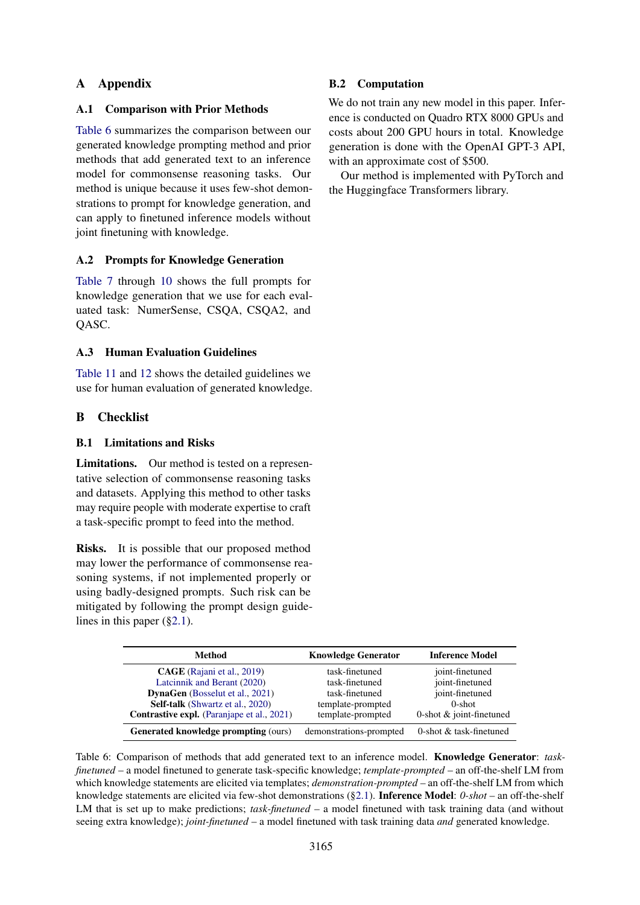# A Appendix

## A.1 Comparison with Prior Methods

[Table 6](#page-11-2) summarizes the comparison between our generated knowledge prompting method and prior methods that add generated text to an inference model for commonsense reasoning tasks. Our method is unique because it uses few-shot demonstrations to prompt for knowledge generation, and can apply to finetuned inference models without joint finetuning with knowledge.

## <span id="page-11-0"></span>A.2 Prompts for Knowledge Generation

[Table 7](#page-12-0) through [10](#page-13-0) shows the full prompts for knowledge generation that we use for each evaluated task: NumerSense, CSQA, CSQA2, and QASC.

## <span id="page-11-1"></span>A.3 Human Evaluation Guidelines

[Table 11](#page-14-0) and [12](#page-15-0) shows the detailed guidelines we use for human evaluation of generated knowledge.

## B Checklist

## B.1 Limitations and Risks

Limitations. Our method is tested on a representative selection of commonsense reasoning tasks and datasets. Applying this method to other tasks may require people with moderate expertise to craft a task-specific prompt to feed into the method.

Risks. It is possible that our proposed method may lower the performance of commonsense reasoning systems, if not implemented properly or using badly-designed prompts. Such risk can be mitigated by following the prompt design guidelines in this paper ([§2.1\)](#page-1-1).

## <span id="page-11-2"></span>Method Knowledge Generator Inference Model **CAGE** [\(Rajani et al.,](#page-9-19) [2019\)](#page-9-19) task-finetuned joint-finetuned<br>
Latcinnik and Berant (2020) task-finetuned ioint-finetuned [Latcinnik and Berant](#page-9-18) [\(2020\)](#page-9-18) task-finetuned **DynaGen** [\(Bosselut et al.,](#page-8-4) [2021\)](#page-8-4) task-finetuned joint-finetuned Self-talk [\(Shwartz et al.,](#page-10-0) [2020\)](#page-10-0) template-prompted 0-shot **Contrastive expl.** (Paraniape et al., [2021\)](#page-9-4) template-prompted 0-shot  $\&$  joint-finetuned Generated knowledge prompting (ours) demonstrations-prompted 0-shot & task-finetuned

Table 6: Comparison of methods that add generated text to an inference model. Knowledge Generator: *taskfinetuned* – a model finetuned to generate task-specific knowledge; *template-prompted* – an off-the-shelf LM from which knowledge statements are elicited via templates; *demonstration-prompted* – an off-the-shelf LM from which knowledge statements are elicited via few-shot demonstrations ([§2.1\)](#page-1-1). Inference Model: *0-shot* – an off-the-shelf LM that is set up to make predictions; *task-finetuned* – a model finetuned with task training data (and without seeing extra knowledge); *joint-finetuned* – a model finetuned with task training data *and* generated knowledge.

# B.2 Computation

We do not train any new model in this paper. Inference is conducted on Quadro RTX 8000 GPUs and costs about 200 GPU hours in total. Knowledge generation is done with the OpenAI GPT-3 API, with an approximate cost of \$500.

Our method is implemented with PyTorch and the Huggingface Transformers library.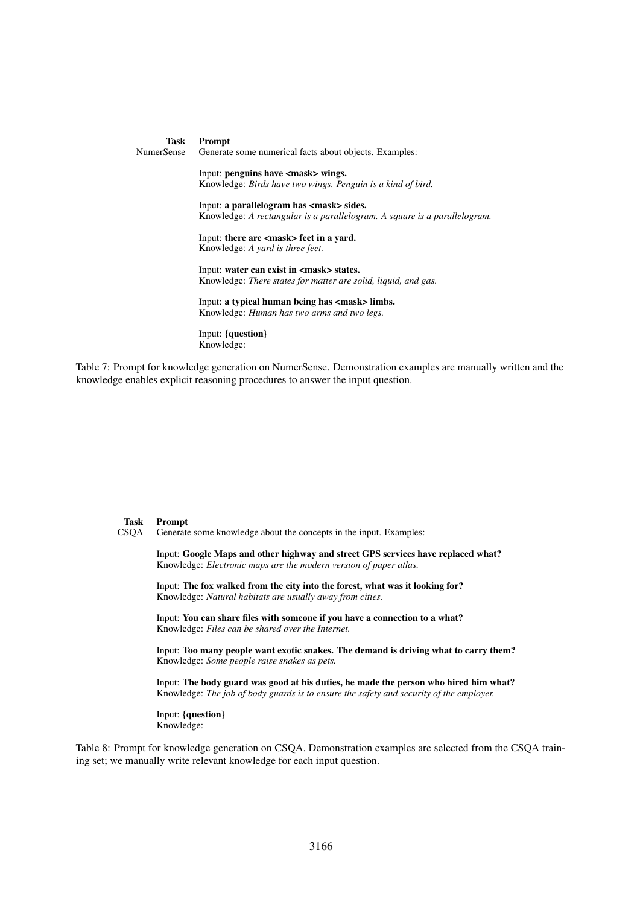<span id="page-12-0"></span>

| Task       | Prompt                                                                    |
|------------|---------------------------------------------------------------------------|
| NumerSense | Generate some numerical facts about objects. Examples:                    |
|            | Input: penguins have <mask> wings.</mask>                                 |
|            | Knowledge: <i>Birds have two wings. Penguin is a kind of bird.</i>        |
|            | Input: a parallelogram has $\langle \text{mask}\rangle$ sides.            |
|            | Knowledge: A rectangular is a parallelogram. A square is a parallelogram. |
|            | Input: there are <mask> feet in a yard.</mask>                            |
|            | Knowledge: A yard is three feet.                                          |
|            | Input: water can exist in $\langle \text{mask}\rangle$ states.            |
|            | Knowledge: <i>There states for matter are solid, liquid, and gas.</i>     |
|            | Input: a typical human being has <mask> limbs.</mask>                     |
|            | Knowledge: <i>Human has two arms and two legs</i> .                       |
|            | Input: {question}                                                         |
|            | Knowledge:                                                                |

Table 7: Prompt for knowledge generation on NumerSense. Demonstration examples are manually written and the knowledge enables explicit reasoning procedures to answer the input question.

| Task | <b>Prompt</b>                                                                                                                                                                   |
|------|---------------------------------------------------------------------------------------------------------------------------------------------------------------------------------|
| CSQA | Generate some knowledge about the concepts in the input. Examples:                                                                                                              |
|      | Input: Google Maps and other highway and street GPS services have replaced what?<br>Knowledge: <i>Electronic maps are the modern version of paper atlas</i> .                   |
|      | Input: The fox walked from the city into the forest, what was it looking for?<br>Knowledge: Natural habitats are usually away from cities.                                      |
|      | Input: You can share files with someone if you have a connection to a what?<br>Knowledge: Files can be shared over the Internet.                                                |
|      | Input: Too many people want exotic snakes. The demand is driving what to carry them?<br>Knowledge: <i>Some people raise snakes as pets</i> .                                    |
|      | Input: The body guard was good at his duties, he made the person who hired him what?<br>Knowledge: The job of body guards is to ensure the safety and security of the employer. |
|      | Input: {question}<br>Knowledge:                                                                                                                                                 |
|      |                                                                                                                                                                                 |

Table 8: Prompt for knowledge generation on CSQA. Demonstration examples are selected from the CSQA training set; we manually write relevant knowledge for each input question.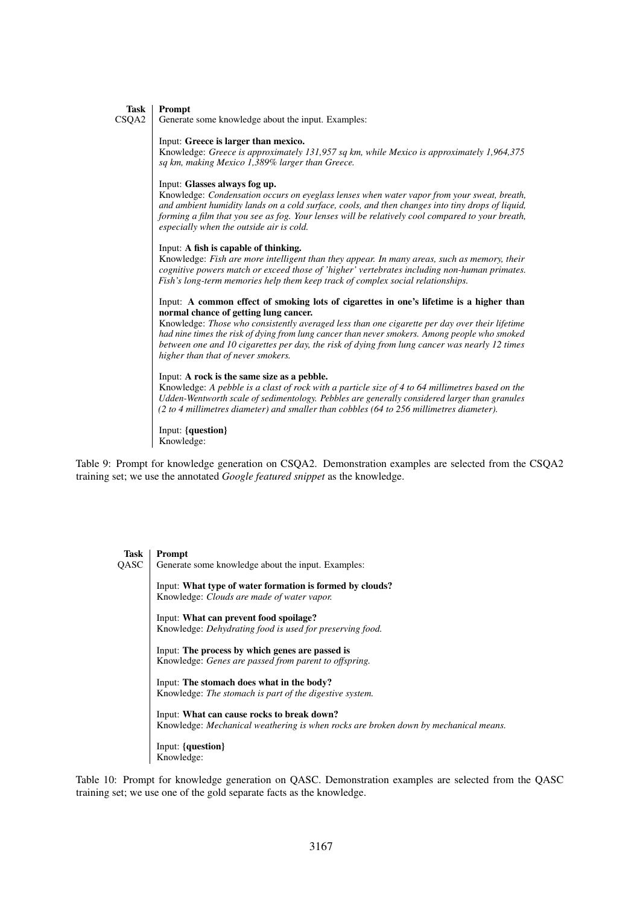#### Task Prompt

CSQA2 Generate some knowledge about the input. Examples:

#### Input: Greece is larger than mexico.

Knowledge: *Greece is approximately 131,957 sq km, while Mexico is approximately 1,964,375 sq km, making Mexico 1,389% larger than Greece.*

#### Input: Glasses always fog up.

Knowledge: *Condensation occurs on eyeglass lenses when water vapor from your sweat, breath, and ambient humidity lands on a cold surface, cools, and then changes into tiny drops of liquid, forming a film that you see as fog. Your lenses will be relatively cool compared to your breath, especially when the outside air is cold.*

#### Input: A fish is capable of thinking.

Knowledge: *Fish are more intelligent than they appear. In many areas, such as memory, their cognitive powers match or exceed those of 'higher' vertebrates including non-human primates. Fish's long-term memories help them keep track of complex social relationships.*

#### Input: A common effect of smoking lots of cigarettes in one's lifetime is a higher than normal chance of getting lung cancer.

Knowledge: *Those who consistently averaged less than one cigarette per day over their lifetime had nine times the risk of dying from lung cancer than never smokers. Among people who smoked between one and 10 cigarettes per day, the risk of dying from lung cancer was nearly 12 times higher than that of never smokers.*

#### Input: A rock is the same size as a pebble.

Knowledge: *A pebble is a clast of rock with a particle size of 4 to 64 millimetres based on the Udden-Wentworth scale of sedimentology. Pebbles are generally considered larger than granules (2 to 4 millimetres diameter) and smaller than cobbles (64 to 256 millimetres diameter).*

Input: {question} Knowledge:

Table 9: Prompt for knowledge generation on CSQA2. Demonstration examples are selected from the CSQA2 training set; we use the annotated *Google featured snippet* as the knowledge.

<span id="page-13-0"></span>

| Task | Prompt                                                                                                 |
|------|--------------------------------------------------------------------------------------------------------|
| QASC | Generate some knowledge about the input. Examples:                                                     |
|      | Input: What type of water formation is formed by clouds?<br>Knowledge: Clouds are made of water vapor. |
|      | Input: What can prevent food spoilage?                                                                 |
|      | Knowledge: Dehydrating food is used for preserving food.                                               |
|      | Input: The process by which genes are passed is                                                        |
|      | Knowledge: <i>Genes are passed from parent to offspring</i> .                                          |
|      | Input: The stomach does what in the body?                                                              |
|      | Knowledge: The stomach is part of the digestive system.                                                |
|      | Input: What can cause rocks to break down?                                                             |
|      | Knowledge: Mechanical weathering is when rocks are broken down by mechanical means.                    |
|      | Input: {question}                                                                                      |
|      | Knowledge:                                                                                             |

Table 10: Prompt for knowledge generation on QASC. Demonstration examples are selected from the QASC training set; we use one of the gold separate facts as the knowledge.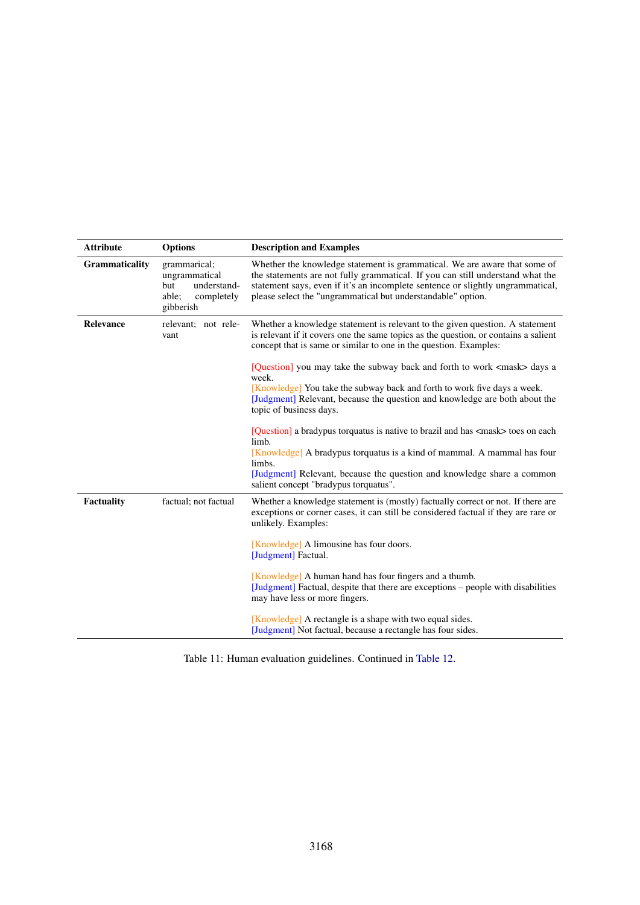<span id="page-14-0"></span>

| <b>Attribute</b> | <b>Options</b>                                                                          | <b>Description and Examples</b>                                                                                                                                                                                                                                                                               |
|------------------|-----------------------------------------------------------------------------------------|---------------------------------------------------------------------------------------------------------------------------------------------------------------------------------------------------------------------------------------------------------------------------------------------------------------|
| Grammaticality   | grammarical;<br>ungrammatical<br>understand-<br>but<br>able;<br>completely<br>gibberish | Whether the knowledge statement is grammatical. We are aware that some of<br>the statements are not fully grammatical. If you can still understand what the<br>statement says, even if it's an incomplete sentence or slightly ungrammatical,<br>please select the "ungrammatical but understandable" option. |
| Relevance        | relevant; not rele-<br>vant                                                             | Whether a knowledge statement is relevant to the given question. A statement<br>is relevant if it covers one the same topics as the question, or contains a salient<br>concept that is same or similar to one in the question. Examples:                                                                      |
|                  |                                                                                         | [Question] you may take the subway back and forth to work <mask> days a<br/>week.</mask>                                                                                                                                                                                                                      |
|                  |                                                                                         | [Knowledge] You take the subway back and forth to work five days a week.<br>[Judgment] Relevant, because the question and knowledge are both about the<br>topic of business days.                                                                                                                             |
|                  |                                                                                         | [Question] a bradypus torquatus is native to brazil and has <mask> toes on each<br/>limb.</mask>                                                                                                                                                                                                              |
|                  |                                                                                         | [Knowledge] A bradypus torquatus is a kind of mammal. A mammal has four<br>limbs.                                                                                                                                                                                                                             |
|                  |                                                                                         | [Judgment] Relevant, because the question and knowledge share a common<br>salient concept "bradypus torquatus".                                                                                                                                                                                               |
| Factuality       | factual; not factual                                                                    | Whether a knowledge statement is (mostly) factually correct or not. If there are<br>exceptions or corner cases, it can still be considered factual if they are rare or<br>unlikely. Examples:                                                                                                                 |
|                  |                                                                                         | [Knowledge] A limousine has four doors.<br>[Judgment] Factual.                                                                                                                                                                                                                                                |
|                  |                                                                                         | [Knowledge] A human hand has four fingers and a thumb.<br>[Judgment] Factual, despite that there are exceptions - people with disabilities<br>may have less or more fingers.                                                                                                                                  |
|                  |                                                                                         | [Knowledge] A rectangle is a shape with two equal sides.<br>[Judgment] Not factual, because a rectangle has four sides.                                                                                                                                                                                       |

Table 11: Human evaluation guidelines. Continued in [Table 12.](#page-15-0)